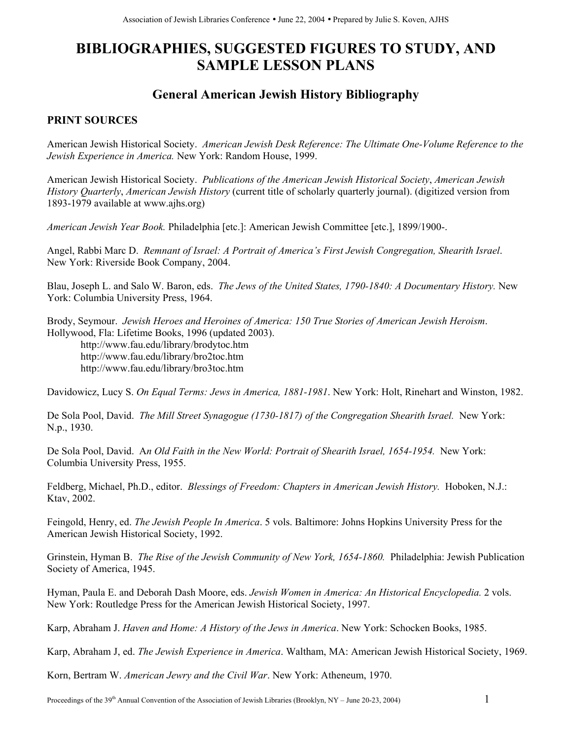# **BIBLIOGRAPHIES, SUGGESTED FIGURES TO STUDY, AND SAMPLE LESSON PLANS**

# **General American Jewish History Bibliography**

# **PRINT SOURCES**

American Jewish Historical Society. *American Jewish Desk Reference: The Ultimate One-Volume Reference to the Jewish Experience in America.* New York: Random House, 1999.

American Jewish Historical Society. *Publications of the American Jewish Historical Society*, *American Jewish History Quarterly*, *American Jewish History* (current title of scholarly quarterly journal). (digitized version from 1893-1979 available at www.ajhs.org)

*American Jewish Year Book.* Philadelphia [etc.]: American Jewish Committee [etc.], 1899/1900-.

Angel, Rabbi Marc D. *Remnant of Israel: A Portrait of America's First Jewish Congregation, Shearith Israel*. New York: Riverside Book Company, 2004.

Blau, Joseph L. and Salo W. Baron, eds. *The Jews of the United States, 1790-1840: A Documentary History.* New York: Columbia University Press, 1964.

Brody, Seymour. *Jewish Heroes and Heroines of America: 150 True Stories of American Jewish Heroism*. Hollywood, Fla: Lifetime Books, 1996 (updated 2003).

<http://www.fau.edu/library/brodytoc.htm> <http://www.fau.edu/library/bro2toc.htm> http://www.fau.edu/library/bro3toc.htm

Davidowicz, Lucy S. *On Equal Terms: Jews in America, 1881-1981*. New York: Holt, Rinehart and Winston, 1982.

De Sola Pool, David. *The Mill Street Synagogue (1730-1817) of the Congregation Shearith Israel.* New York: N.p., 1930.

De Sola Pool, David. A*n Old Faith in the New World: Portrait of Shearith Israel, 1654-1954.* New York: Columbia University Press, 1955.

Feldberg, Michael, Ph.D., editor. *Blessings of Freedom: Chapters in American Jewish History.* Hoboken, N.J.: Ktav, 2002.

Feingold, Henry, ed. *The Jewish People In America*. 5 vols. Baltimore: Johns Hopkins University Press for the American Jewish Historical Society, 1992.

Grinstein, Hyman B. *The Rise of the Jewish Community of New York, 1654-1860.* Philadelphia: Jewish Publication Society of America, 1945.

Hyman, Paula E. and Deborah Dash Moore, eds. *Jewish Women in America: An Historical Encyclopedia.* 2 vols. New York: Routledge Press for the American Jewish Historical Society, 1997.

Karp, Abraham J. *Haven and Home: A History of the Jews in America*. New York: Schocken Books, 1985.

Karp, Abraham J, ed. *The Jewish Experience in America*. Waltham, MA: American Jewish Historical Society, 1969.

Korn, Bertram W. *American Jewry and the Civil War*. New York: Atheneum, 1970.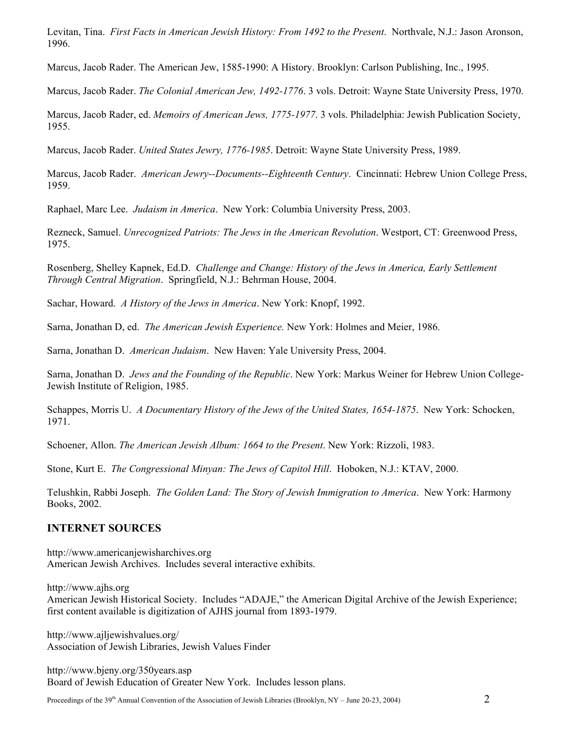Levitan, Tina. *First Facts in American Jewish History: From 1492 to the Present*. Northvale, N.J.: Jason Aronson, 1996.

Marcus, Jacob Rader. The American Jew, 1585-1990: A History. Brooklyn: Carlson Publishing, Inc., 1995.

Marcus, Jacob Rader. *The Colonial American Jew, 1492-1776*. 3 vols. Detroit: Wayne State University Press, 1970.

Marcus, Jacob Rader, ed. *Memoirs of American Jews, 1775-1977*. 3 vols. Philadelphia: Jewish Publication Society, 1955.

Marcus, Jacob Rader. *United States Jewry, 1776-1985*. Detroit: Wayne State University Press, 1989.

Marcus, Jacob Rader. *American Jewry--Documents--Eighteenth Century*. Cincinnati: Hebrew Union College Press, 1959.

Raphael, Marc Lee. *Judaism in America*. New York: Columbia University Press, 2003.

Rezneck, Samuel. *Unrecognized Patriots: The Jews in the American Revolution*. Westport, CT: Greenwood Press, 1975.

Rosenberg, Shelley Kapnek, Ed.D. *Challenge and Change: History of the Jews in America, Early Settlement Through Central Migration*. Springfield, N.J.: Behrman House, 2004.

Sachar, Howard. *A History of the Jews in America*. New York: Knopf, 1992.

Sarna, Jonathan D, ed. *The American Jewish Experience.* New York: Holmes and Meier, 1986.

Sarna, Jonathan D. *American Judaism*. New Haven: Yale University Press, 2004.

Sarna, Jonathan D. *Jews and the Founding of the Republic*. New York: Markus Weiner for Hebrew Union College-Jewish Institute of Religion, 1985.

Schappes, Morris U. *A Documentary History of the Jews of the United States, 1654-1875*. New York: Schocken, 1971.

Schoener, Allon. *The American Jewish Album: 1664 to the Present*. New York: Rizzoli, 1983.

Stone, Kurt E. *The Congressional Minyan: The Jews of Capitol Hill*. Hoboken, N.J.: KTAV, 2000.

Telushkin, Rabbi Joseph. *The Golden Land: The Story of Jewish Immigration to America*. New York: Harmony Books, 2002.

#### **INTERNET SOURCES**

[http://www.americanjewisharchives.org](http://www.americanjewisharchives.org/) American Jewish Archives. Includes several interactive exhibits.

[http://www.ajhs.org](http://www.ajhs.org/)

American Jewish Historical Society. Includes "ADAJE," the American Digital Archive of the Jewish Experience; first content available is digitization of AJHS journal from 1893-1979.

<http://www.ajljewishvalues.org/> Association of Jewish Libraries, Jewish Values Finder

<http://www.bjeny.org/350years.asp> Board of Jewish Education of Greater New York. Includes lesson plans.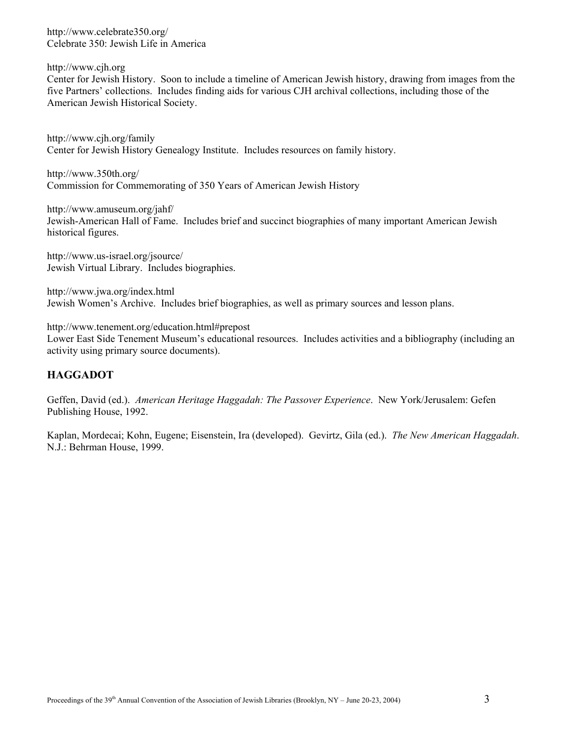<http://www.celebrate350.org/> Celebrate 350: Jewish Life in America

[http://www.cjh.org](http://www.cjh.org/)

Center for Jewish History. Soon to include a timeline of American Jewish history, drawing from images from the five Partners' collections. Includes finding aids for various CJH archival collections, including those of the American Jewish Historical Society.

<http://www.cjh.org/family> Center for Jewish History Genealogy Institute. Includes resources on family history.

<http://www.350th.org/> Commission for Commemorating of 350 Years of American Jewish History

<http://www.amuseum.org/jahf/> Jewish-American Hall of Fame. Includes brief and succinct biographies of many important American Jewish historical figures.

<http://www.us-israel.org/jsource/> Jewish Virtual Library. Includes biographies.

<http://www.jwa.org/index.html> Jewish Women's Archive. Includes brief biographies, as well as primary sources and lesson plans.

[http://www.tenement.org/education.html#prepost](http://www.tenement.org/education.html)

Lower East Side Tenement Museum's educational resources. Includes activities and a bibliography (including an activity using primary source documents).

## **HAGGADOT**

Geffen, David (ed.). *American Heritage Haggadah: The Passover Experience*. New York/Jerusalem: Gefen Publishing House, 1992.

Kaplan, Mordecai; Kohn, Eugene; Eisenstein, Ira (developed). Gevirtz, Gila (ed.). *The New American Haggadah*. N.J.: Behrman House, 1999.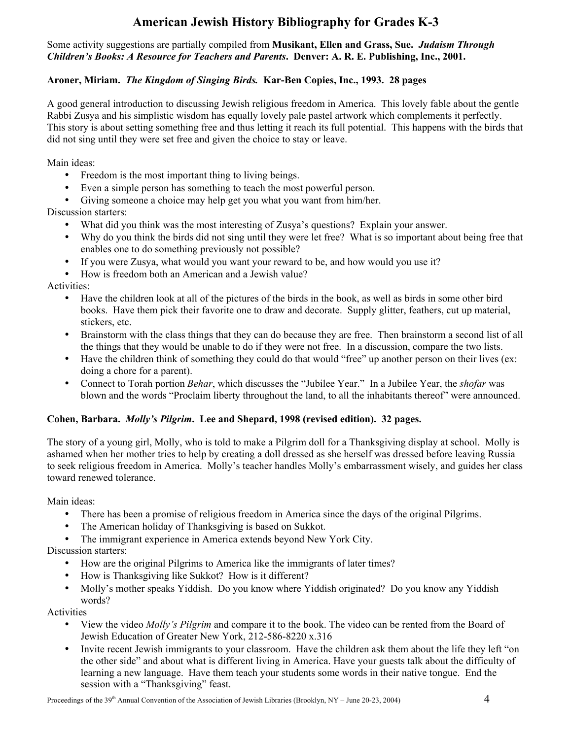# **American Jewish History Bibliography for Grades K-3**

#### Some activity suggestions are partially compiled from **Musikant, Ellen and Grass, Sue.** *Judaism Through Children's Books: A Resource for Teachers and Parents***. Denver: A. R. E. Publishing, Inc., 2001.**

### **Aroner, Miriam.** *The Kingdom of Singing Birds.* **Kar-Ben Copies, Inc., 1993. 28 pages**

A good general introduction to discussing Jewish religious freedom in America. This lovely fable about the gentle Rabbi Zusya and his simplistic wisdom has equally lovely pale pastel artwork which complements it perfectly. This story is about setting something free and thus letting it reach its full potential. This happens with the birds that did not sing until they were set free and given the choice to stay or leave.

Main ideas:

- Freedom is the most important thing to living beings.
- Even a simple person has something to teach the most powerful person.
- Giving someone a choice may help get you what you want from him/her.

Discussion starters:

- What did you think was the most interesting of Zusya's questions? Explain your answer.
- Why do you think the birds did not sing until they were let free? What is so important about being free that enables one to do something previously not possible?
- If you were Zusya, what would you want your reward to be, and how would you use it?
- How is freedom both an American and a Jewish value?

Activities:

- Have the children look at all of the pictures of the birds in the book, as well as birds in some other bird books. Have them pick their favorite one to draw and decorate. Supply glitter, feathers, cut up material, stickers, etc.
- Brainstorm with the class things that they can do because they are free. Then brainstorm a second list of all the things that they would be unable to do if they were not free. In a discussion, compare the two lists.
- Have the children think of something they could do that would "free" up another person on their lives (ex: doing a chore for a parent).
- Connect to Torah portion *Behar*, which discusses the "Jubilee Year." In a Jubilee Year, the *shofar* was blown and the words "Proclaim liberty throughout the land, to all the inhabitants thereof" were announced.

#### **Cohen, Barbara.** *Molly's Pilgrim***. Lee and Shepard, 1998 (revised edition). 32 pages.**

The story of a young girl, Molly, who is told to make a Pilgrim doll for a Thanksgiving display at school. Molly is ashamed when her mother tries to help by creating a doll dressed as she herself was dressed before leaving Russia to seek religious freedom in America. Molly's teacher handles Molly's embarrassment wisely, and guides her class toward renewed tolerance.

Main ideas:

- There has been a promise of religious freedom in America since the days of the original Pilgrims.
- The American holiday of Thanksgiving is based on Sukkot.
- The immigrant experience in America extends beyond New York City.

Discussion starters:

- How are the original Pilgrims to America like the immigrants of later times?
- How is Thanksgiving like Sukkot? How is it different?
- Molly's mother speaks Yiddish. Do you know where Yiddish originated? Do you know any Yiddish words?

Activities

- View the video *Molly's Pilgrim* and compare it to the book. The video can be rented from the Board of Jewish Education of Greater New York, 212-586-8220 x.316
- Invite recent Jewish immigrants to your classroom. Have the children ask them about the life they left "on the other side" and about what is different living in America. Have your guests talk about the difficulty of learning a new language. Have them teach your students some words in their native tongue. End the session with a "Thanksgiving" feast.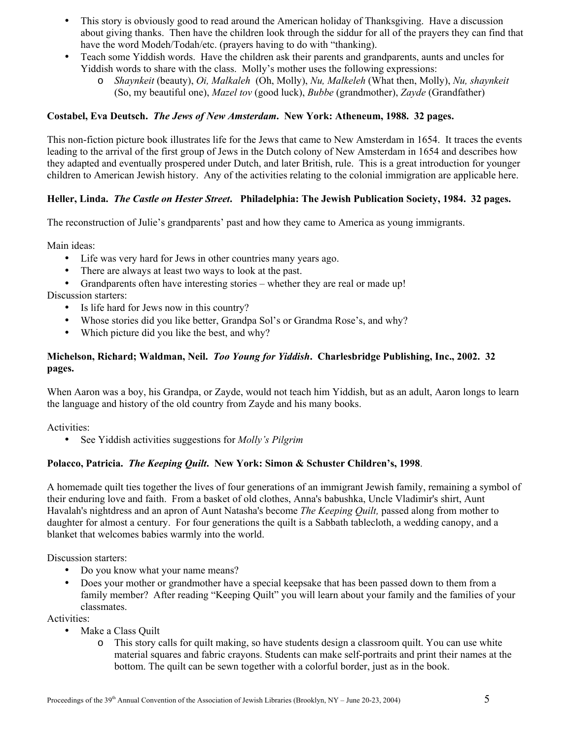- This story is obviously good to read around the American holiday of Thanksgiving. Have a discussion about giving thanks. Then have the children look through the siddur for all of the prayers they can find that have the word Modeh/Todah/etc. (prayers having to do with "thanking).
- Teach some Yiddish words. Have the children ask their parents and grandparents, aunts and uncles for Yiddish words to share with the class. Molly's mother uses the following expressions:
	- o *Shaynkeit* (beauty), *Oi, Malkaleh* (Oh, Molly), *Nu, Malkeleh* (What then, Molly), *Nu, shaynkeit*  (So, my beautiful one), *Mazel tov* (good luck), *Bubbe* (grandmother), *Zayde* (Grandfather)

#### **Costabel, Eva Deutsch.** *The Jews of New Amsterdam***. New York: Atheneum, 1988. 32 pages.**

This non-fiction picture book illustrates life for the Jews that came to New Amsterdam in 1654. It traces the events leading to the arrival of the first group of Jews in the Dutch colony of New Amsterdam in 1654 and describes how they adapted and eventually prospered under Dutch, and later British, rule. This is a great introduction for younger children to American Jewish history. Any of the activities relating to the colonial immigration are applicable here.

#### **Heller, Linda.** *The Castle on Hester Street***. Philadelphia: The Jewish Publication Society, 1984. 32 pages.**

The reconstruction of Julie's grandparents' past and how they came to America as young immigrants.

Main ideas:

- Life was very hard for Jews in other countries many years ago.
- There are always at least two ways to look at the past.
- Grandparents often have interesting stories whether they are real or made up! Discussion starters:
	- Is life hard for Jews now in this country?
	- Whose stories did you like better, Grandpa Sol's or Grandma Rose's, and why?
	- Which picture did you like the best, and why?

### **Michelson, Richard; Waldman, Neil.** *Too Young for Yiddish***. Charlesbridge Publishing, Inc., 2002. 32 pages.**

When Aaron was a boy, his Grandpa, or Zayde, would not teach him Yiddish, but as an adult, Aaron longs to learn the language and history of the old country from Zayde and his many books.

Activities:

• See Yiddish activities suggestions for *Molly's Pilgrim*

#### **Polacco, Patricia.** *The Keeping Quilt***. New York: Simon & Schuster Children's, 1998**.

A homemade quilt ties together the lives of four generations of an immigrant Jewish family, remaining a symbol of their enduring love and faith. From a basket of old clothes, Anna's babushka, Uncle Vladimir's shirt, Aunt Havalah's nightdress and an apron of Aunt Natasha's become *The Keeping Quilt,* passed along from mother to daughter for almost a century. For four generations the quilt is a Sabbath tablecloth, a wedding canopy, and a blanket that welcomes babies warmly into the world.

Discussion starters:

- Do you know what your name means?
- Does your mother or grandmother have a special keepsake that has been passed down to them from a family member? After reading "Keeping Quilt" you will learn about your family and the families of your classmates.

Activities:

- Make a Class Quilt
	- o This story calls for quilt making, so have students design a classroom quilt. You can use white material squares and fabric crayons. Students can make self-portraits and print their names at the bottom. The quilt can be sewn together with a colorful border, just as in the book.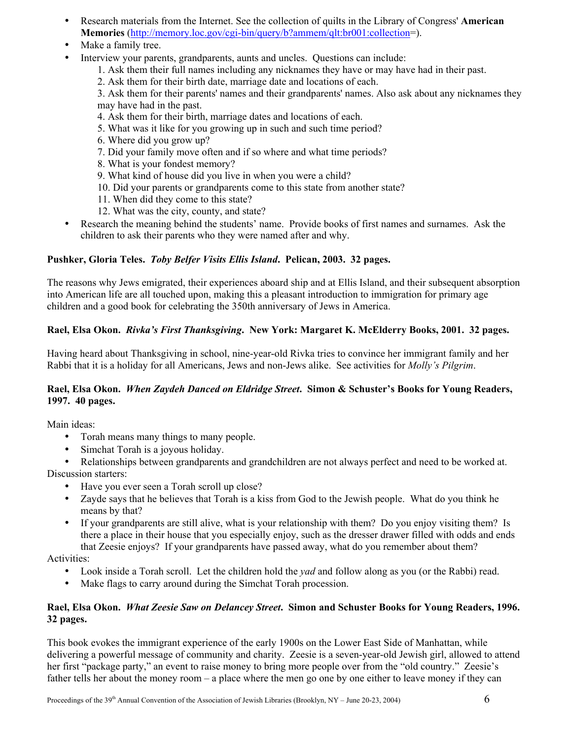- Research materials from the Internet. See the collection of quilts in the Library of Congress' **American Memories** (<http://memory.loc.gov/cgi-bin/query/b?ammem/qlt:br001:collection>=).
- Make a family tree.
- Interview your parents, grandparents, aunts and uncles. Ouestions can include:
	- 1. Ask them their full names including any nicknames they have or may have had in their past.
	- 2. Ask them for their birth date, marriage date and locations of each.

3. Ask them for their parents' names and their grandparents' names. Also ask about any nicknames they may have had in the past.

- 4. Ask them for their birth, marriage dates and locations of each.
- 5. What was it like for you growing up in such and such time period?
- 6. Where did you grow up?
- 7. Did your family move often and if so where and what time periods?
- 8. What is your fondest memory?
- 9. What kind of house did you live in when you were a child?
- 10. Did your parents or grandparents come to this state from another state?
- 11. When did they come to this state?
- 12. What was the city, county, and state?
- Research the meaning behind the students' name. Provide books of first names and surnames. Ask the children to ask their parents who they were named after and why.

## **Pushker, Gloria Teles.** *Toby Belfer Visits Ellis Island***. Pelican, 2003. 32 pages.**

The reasons why Jews emigrated, their experiences aboard ship and at Ellis Island, and their subsequent absorption into American life are all touched upon, making this a pleasant introduction to immigration for primary age children and a good book for celebrating the 350th anniversary of Jews in America.

## **Rael, Elsa Okon.** *Rivka's First Thanksgiving***. New York: Margaret K. McElderry Books, 2001. 32 pages.**

Having heard about Thanksgiving in school, nine-year-old Rivka tries to convince her immigrant family and her Rabbi that it is a holiday for all Americans, Jews and non-Jews alike. See activities for *Molly's Pilgrim*.

#### **Rael, Elsa Okon.** *When Zaydeh Danced on Eldridge Street***. Simon & Schuster's Books for Young Readers, 1997. 40 pages.**

Main ideas:

- Torah means many things to many people.
- Simchat Torah is a joyous holiday.
- Relationships between grandparents and grandchildren are not always perfect and need to be worked at. Discussion starters:

• Have you ever seen a Torah scroll up close?

- Zayde says that he believes that Torah is a kiss from God to the Jewish people. What do you think he means by that?
- If your grandparents are still alive, what is your relationship with them? Do you enjoy visiting them? Is there a place in their house that you especially enjoy, such as the dresser drawer filled with odds and ends that Zeesie enjoys? If your grandparents have passed away, what do you remember about them?

Activities:

- Look inside a Torah scroll. Let the children hold the *yad* and follow along as you (or the Rabbi) read.
- Make flags to carry around during the Simchat Torah procession.

#### **Rael, Elsa Okon.** *What Zeesie Saw on Delancey Street***. Simon and Schuster Books for Young Readers, 1996. 32 pages.**

This book evokes the immigrant experience of the early 1900s on the Lower East Side of Manhattan, while delivering a powerful message of community and charity. Zeesie is a seven-year-old Jewish girl, allowed to attend her first "package party," an event to raise money to bring more people over from the "old country." Zeesie's father tells her about the money room – a place where the men go one by one either to leave money if they can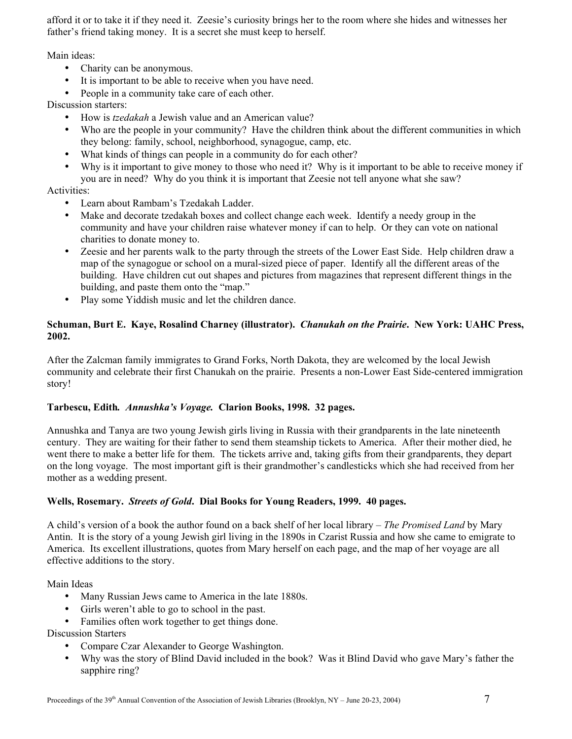afford it or to take it if they need it. Zeesie's curiosity brings her to the room where she hides and witnesses her father's friend taking money. It is a secret she must keep to herself.

Main ideas:

- Charity can be anonymous.
- It is important to be able to receive when you have need.
- People in a community take care of each other.

Discussion starters:

- How is *tzedakah* a Jewish value and an American value?
- Who are the people in your community? Have the children think about the different communities in which they belong: family, school, neighborhood, synagogue, camp, etc.
- What kinds of things can people in a community do for each other?
- Why is it important to give money to those who need it? Why is it important to be able to receive money if you are in need? Why do you think it is important that Zeesie not tell anyone what she saw?

## Activities:

- Learn about Rambam's Tzedakah Ladder.
- Make and decorate tzedakah boxes and collect change each week. Identify a needy group in the community and have your children raise whatever money if can to help. Or they can vote on national charities to donate money to.
- Zeesie and her parents walk to the party through the streets of the Lower East Side. Help children draw a map of the synagogue or school on a mural-sized piece of paper. Identify all the different areas of the building. Have children cut out shapes and pictures from magazines that represent different things in the building, and paste them onto the "map."
- Play some Yiddish music and let the children dance.

#### **Schuman, Burt E. Kaye, Rosalind Charney (illustrator).** *Chanukah on the Prairie***. New York: UAHC Press, 2002.**

After the Zalcman family immigrates to Grand Forks, North Dakota, they are welcomed by the local Jewish community and celebrate their first Chanukah on the prairie. Presents a non-Lower East Side-centered immigration story!

#### **Tarbescu, Edith***. Annushka's Voyage.* **Clarion Books, 1998. 32 pages.**

Annushka and Tanya are two young Jewish girls living in Russia with their grandparents in the late nineteenth century. They are waiting for their father to send them steamship tickets to America. After their mother died, he went there to make a better life for them. The tickets arrive and, taking gifts from their grandparents, they depart on the long voyage. The most important gift is their grandmother's candlesticks which she had received from her mother as a wedding present.

#### **Wells, Rosemary.** *Streets of Gold***. Dial Books for Young Readers, 1999. 40 pages.**

A child's version of a book the author found on a back shelf of her local library – *The Promised Land* by Mary Antin. It is the story of a young Jewish girl living in the 1890s in Czarist Russia and how she came to emigrate to America. Its excellent illustrations, quotes from Mary herself on each page, and the map of her voyage are all effective additions to the story.

Main Ideas

- Many Russian Jews came to America in the late 1880s.
- Girls weren't able to go to school in the past.
- Families often work together to get things done.

Discussion Starters

- Compare Czar Alexander to George Washington.
- Why was the story of Blind David included in the book? Was it Blind David who gave Mary's father the sapphire ring?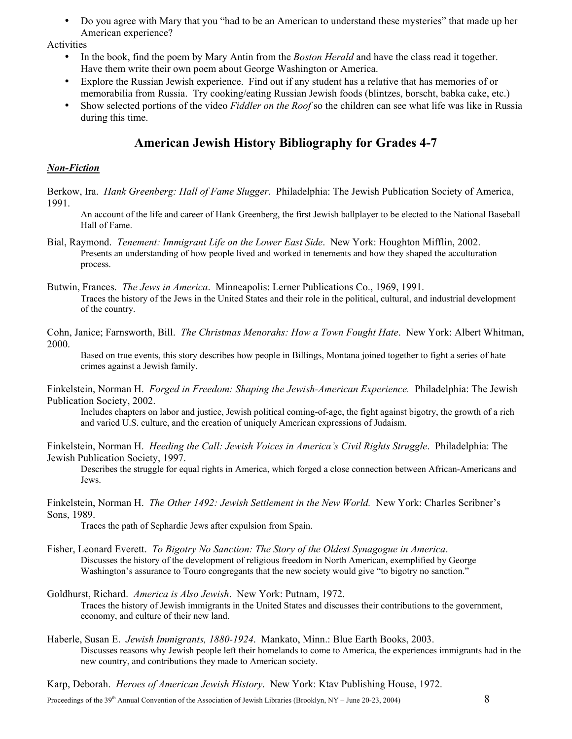• Do you agree with Mary that you "had to be an American to understand these mysteries" that made up her American experience?

Activities

- In the book, find the poem by Mary Antin from the *Boston Herald* and have the class read it together. Have them write their own poem about George Washington or America.
- Explore the Russian Jewish experience. Find out if any student has a relative that has memories of or memorabilia from Russia. Try cooking/eating Russian Jewish foods (blintzes, borscht, babka cake, etc.)
- Show selected portions of the video *Fiddler on the Roof* so the children can see what life was like in Russia during this time.

# **American Jewish History Bibliography for Grades 4-7**

### *Non-Fiction*

Berkow, Ira. *Hank Greenberg: Hall of Fame Slugger*. Philadelphia: The Jewish Publication Society of America, 1991.

An account of the life and career of Hank Greenberg, the first Jewish ballplayer to be elected to the National Baseball Hall of Fame.

Bial, Raymond. *Tenement: Immigrant Life on the Lower East Side*. New York: Houghton Mifflin, 2002. Presents an understanding of how people lived and worked in tenements and how they shaped the acculturation process.

Butwin, Frances. *The Jews in America*. Minneapolis: Lerner Publications Co., 1969, 1991. Traces the history of the Jews in the United States and their role in the political, cultural, and industrial development of the country.

Cohn, Janice; Farnsworth, Bill. *The Christmas Menorahs: How a Town Fought Hate*. New York: Albert Whitman, 2000.

Based on true events, this story describes how people in Billings, Montana joined together to fight a series of hate crimes against a Jewish family.

Finkelstein, Norman H. *Forged in Freedom: Shaping the Jewish-American Experience.* Philadelphia: The Jewish Publication Society, 2002.

Includes chapters on labor and justice, Jewish political coming-of-age, the fight against bigotry, the growth of a rich and varied U.S. culture, and the creation of uniquely American expressions of Judaism.

Finkelstein, Norman H. *Heeding the Call: Jewish Voices in America's Civil Rights Struggle*. Philadelphia: The Jewish Publication Society, 1997.

Describes the struggle for equal rights in America, which forged a close connection between African-Americans and Jews.

Finkelstein, Norman H. *The Other 1492: Jewish Settlement in the New World.* New York: Charles Scribner's Sons, 1989.

Traces the path of Sephardic Jews after expulsion from Spain.

- Fisher, Leonard Everett. *To Bigotry No Sanction: The Story of the Oldest Synagogue in America*. Discusses the history of the development of religious freedom in North American, exemplified by George Washington's assurance to Touro congregants that the new society would give "to bigotry no sanction."
- Goldhurst, Richard. *America is Also Jewish*. New York: Putnam, 1972. Traces the history of Jewish immigrants in the United States and discusses their contributions to the government, economy, and culture of their new land.
- Haberle, Susan E. *Jewish Immigrants, 1880-1924*. Mankato, Minn.: Blue Earth Books, 2003. Discusses reasons why Jewish people left their homelands to come to America, the experiences immigrants had in the new country, and contributions they made to American society.

Karp, Deborah. *Heroes of American Jewish History*. New York: Ktav Publishing House, 1972.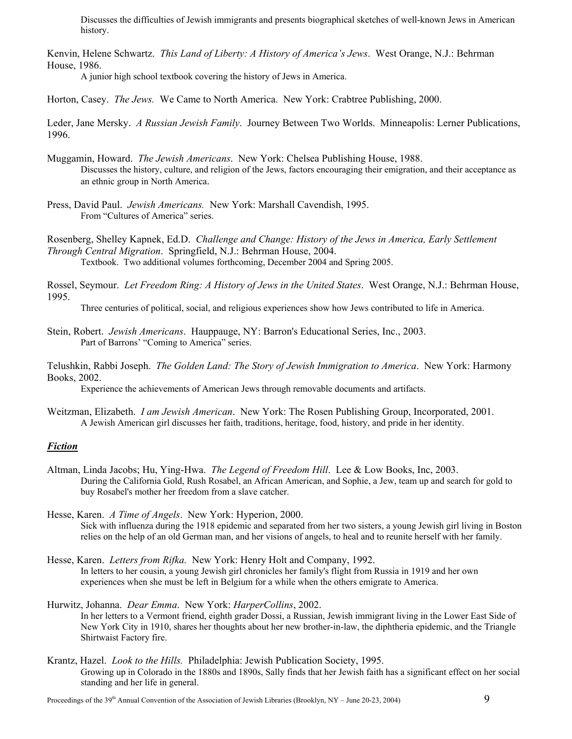Discusses the difficulties of Jewish immigrants and presents biographical sketches of well-known Jews in American history.

Kenvin, Helene Schwartz. *This Land of Liberty: A History of America's Jews*. West Orange, N.J.: Behrman House, 1986.

A junior high school textbook covering the history of Jews in America.

Horton, Casey. *The Jews.* We Came to North America. New York: Crabtree Publishing, 2000.

Leder, Jane Mersky. *A Russian Jewish Family*. Journey Between Two Worlds. Minneapolis: Lerner Publications, 1996.

- Muggamin, Howard. *The Jewish Americans*. New York: Chelsea Publishing House, 1988. Discusses the history, culture, and religion of the Jews, factors encouraging their emigration, and their acceptance as an ethnic group in North America.
- Press, David Paul. *Jewish Americans.* New York: Marshall Cavendish, 1995. From "Cultures of America" series.

Rosenberg, Shelley Kapnek, Ed.D. *Challenge and Change: History of the Jews in America, Early Settlement Through Central Migration*. Springfield, N.J.: Behrman House, 2004. Textbook. Two additional volumes forthcoming, December 2004 and Spring 2005.

Rossel, Seymour. *Let Freedom Ring: A History of Jews in the United States*. West Orange, N.J.: Behrman House, 1995.

Three centuries of political, social, and religious experiences show how Jews contributed to life in America.

Stein, Robert. *Jewish Americans*. Hauppauge, NY: Barron's Educational Series, Inc., 2003. Part of Barrons' "Coming to America" series.

Telushkin, Rabbi Joseph. *The Golden Land: The Story of Jewish Immigration to America*. New York: Harmony Books, 2002.

Experience the achievements of American Jews through removable documents and artifacts.

Weitzman, Elizabeth. *I am Jewish American*. New York: The Rosen Publishing Group, Incorporated, 2001. A Jewish American girl discusses her faith, traditions, heritage, food, history, and pride in her identity.

#### *Fiction*

Altman, Linda Jacobs; Hu, Ying-Hwa. *The Legend of Freedom Hill*. Lee & Low Books, Inc, 2003. During the California Gold, Rush Rosabel, an African American, and Sophie, a Jew, team up and search for gold to buy Rosabel's mother her freedom from a slave catcher.

Hesse, Karen. *A Time of Angels*. New York: Hyperion, 2000. Sick with influenza during the 1918 epidemic and separated from her two sisters, a young Jewish girl living in Boston relies on the help of an old German man, and her visions of angels, to heal and to reunite herself with her family.

Hesse, Karen. *Letters from Rifka.* New York: Henry Holt and Company, 1992. In letters to her cousin, a young Jewish girl chronicles her family's flight from Russia in 1919 and her own experiences when she must be left in Belgium for a while when the others emigrate to America.

#### Hurwitz, Johanna. *Dear Emma*. New York: *HarperCollins*, 2002. In her letters to a Vermont friend, eighth grader Dossi, a Russian, Jewish immigrant living in the Lower East Side of New York City in 1910, shares her thoughts about her new brother-in-law, the diphtheria epidemic, and the Triangle Shirtwaist Factory fire.

Krantz, Hazel. *Look to the Hills.* Philadelphia: Jewish Publication Society, 1995. Growing up in Colorado in the 1880s and 1890s, Sally finds that her Jewish faith has a significant effect on her social standing and her life in general.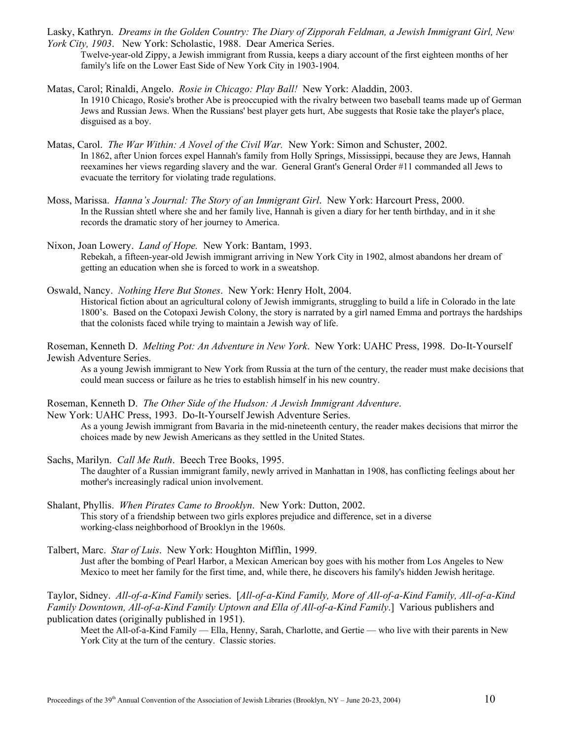Lasky, Kathryn. *Dreams in the Golden Country: The Diary of Zipporah Feldman, a Jewish Immigrant Girl, New York City, 1903*. New York: Scholastic, 1988. Dear America Series.

- Twelve-year-old Zippy, a Jewish immigrant from Russia, keeps a diary account of the first eighteen months of her family's life on the Lower East Side of New York City in 1903-1904.
- Matas, Carol; Rinaldi, Angelo. *Rosie in Chicago: Play Ball!* New York: Aladdin, 2003. In 1910 Chicago, Rosie's brother Abe is preoccupied with the rivalry between two baseball teams made up of German Jews and Russian Jews. When the Russians' best player gets hurt, Abe suggests that Rosie take the player's place, disguised as a boy.
- Matas, Carol. *The War Within: A Novel of the Civil War.* New York: Simon and Schuster, 2002. In 1862, after Union forces expel Hannah's family from Holly Springs, Mississippi, because they are Jews, Hannah reexamines her views regarding slavery and the war. General Grant's General Order #11 commanded all Jews to evacuate the territory for violating trade regulations.
- Moss, Marissa. *Hanna's Journal: The Story of an Immigrant Girl*. New York: Harcourt Press, 2000. In the Russian shtetl where she and her family live, Hannah is given a diary for her tenth birthday, and in it she records the dramatic story of her journey to America.
- Nixon, Joan Lowery. *Land of Hope.* New York: Bantam, 1993. Rebekah, a fifteen-year-old Jewish immigrant arriving in New York City in 1902, almost abandons her dream of getting an education when she is forced to work in a sweatshop.
- Oswald, Nancy. *Nothing Here But Stones*. New York: Henry Holt, 2004. Historical fiction about an agricultural colony of Jewish immigrants, struggling to build a life in Colorado in the late 1800's. Based on the Cotopaxi Jewish Colony, the story is narrated by a girl named Emma and portrays the hardships that the colonists faced while trying to maintain a Jewish way of life.
- Roseman, Kenneth D. *Melting Pot: An Adventure in New York*. New York: UAHC Press, 1998. Do-It-Yourself Jewish Adventure Series.

As a young Jewish immigrant to New York from Russia at the turn of the century, the reader must make decisions that could mean success or failure as he tries to establish himself in his new country.

Roseman, Kenneth D. *The Other Side of the Hudson: A Jewish Immigrant Adventure*.

New York: UAHC Press, 1993. Do-It-Yourself Jewish Adventure Series. As a young Jewish immigrant from Bavaria in the mid-nineteenth century, the reader makes decisions that mirror the choices made by new Jewish Americans as they settled in the United States.

- Sachs, Marilyn. *Call Me Ruth*. Beech Tree Books, 1995. The daughter of a Russian immigrant family, newly arrived in Manhattan in 1908, has conflicting feelings about her mother's increasingly radical union involvement.
- Shalant, Phyllis. *When Pirates Came to Brooklyn*. New York: Dutton, 2002. This story of a friendship between two girls explores prejudice and difference, set in a diverse working-class neighborhood of Brooklyn in the 1960s.
- Talbert, Marc. *Star of Luis*. New York: Houghton Mifflin, 1999. Just after the bombing of Pearl Harbor, a Mexican American boy goes with his mother from Los Angeles to New Mexico to meet her family for the first time, and, while there, he discovers his family's hidden Jewish heritage.

Taylor, Sidney. *All-of-a-Kind Family* series. [*All-of-a-Kind Family, More of All-of-a-Kind Family, All-of-a-Kind Family Downtown, All-of-a-Kind Family Uptown and Ella of All-of-a-Kind Family*.] Various publishers and publication dates (originally published in 1951).

Meet the All-of-a-Kind Family — Ella, Henny, Sarah, Charlotte, and Gertie — who live with their parents in New York City at the turn of the century. Classic stories.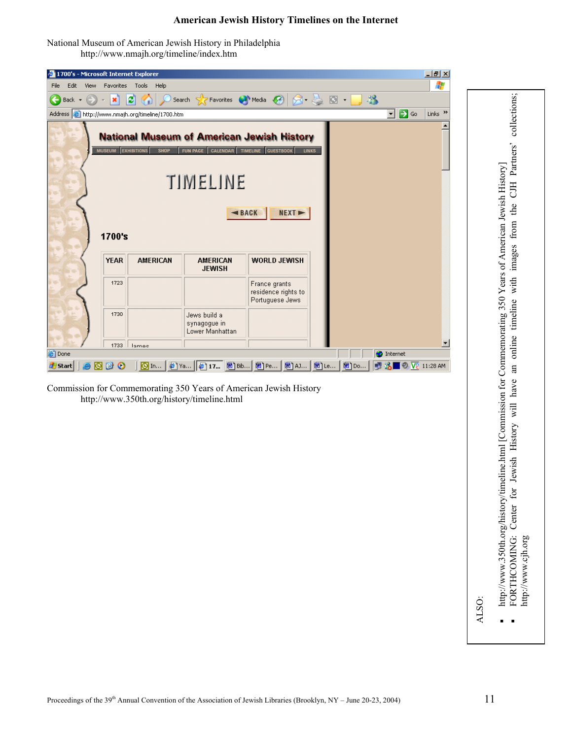#### **American Jewish History Timelines on the Internet**

National Museum of American Jewish History in Philadelphia <http://www.nmajh.org/timeline/index.htm>

| $-10x$<br>4 1700's - Microsoft Internet Explorer                                            |                     |                                   |                                                                                  |                                                         |              |       |                     |  |
|---------------------------------------------------------------------------------------------|---------------------|-----------------------------------|----------------------------------------------------------------------------------|---------------------------------------------------------|--------------|-------|---------------------|--|
| Edit<br>View<br>File                                                                        | Favorites           | Tools Help                        |                                                                                  |                                                         |              |       | 47                  |  |
| Back $\star$                                                                                | ×                   | 2000                              | Search <b>A</b> Favorites ● Media ● 8 - 8 回 - 8                                  |                                                         |              |       |                     |  |
| ⊡ ⋻ ∞<br>Address <b>&amp;</b> http://www.nmajh.org/timeline/1700.htm<br>Links $\rightarrow$ |                     |                                   |                                                                                  |                                                         |              |       |                     |  |
|                                                                                             | <b>MUSEUM</b>       | <b>EXHIBITIONS</b><br><b>SHOP</b> | <b>National Museum of American Jewish History</b><br>CALENDAR<br><b>FUN PAGE</b> | TIMELINE<br><b>GUESTBOOK</b>                            | <b>LINKS</b> |       |                     |  |
| TIMELINE                                                                                    |                     |                                   |                                                                                  |                                                         |              |       |                     |  |
|                                                                                             | 1700's              |                                   |                                                                                  | BACK<br>NEXT-                                           |              |       |                     |  |
|                                                                                             | <b>YEAR</b>         | <b>AMERICAN</b>                   | <b>AMERICAN</b><br><b>JEWISH</b>                                                 | <b>WORLD JEWISH</b>                                     |              |       |                     |  |
|                                                                                             | 1723                |                                   |                                                                                  | France grants<br>residence rights to<br>Portuguese Jews |              |       |                     |  |
|                                                                                             | 1730                |                                   | Jews build a<br>synagogue in<br>Lower Manhattan                                  |                                                         |              |       |                     |  |
|                                                                                             | 1733                | lamac                             |                                                                                  |                                                         |              |       |                     |  |
| <b>Done</b><br><b>O</b> Internet<br>◎ In   @ Ya   @ 17   图 Bib   图 Pe   图 AJ   图 Le         |                     |                                   |                                                                                  |                                                         |              |       |                     |  |
| <b>A</b> Start                                                                              | o<br>m<br>$\bullet$ |                                   |                                                                                  |                                                         |              | ■ Do… | ■ 3 ■ © V2 11:28 AM |  |

Commission for Commemorating 350 Years of American Jewish History <http://www.350th.org/history/timeline.html>

FORTHCOMING: Center for Jewish History will have an online timeline with images from the CJH Partners' collections; FORTHCOMING: Center for Jewish History will have an online timeline with images from the CJH Partners' collectio History] merican Jewish 350 Years of A bŋ memoratin mission for Com [w.350th.org/history/timeline.html](http://www.350th.org/history/timeline.html) [Com http://www.cjh.org http://www.cjh.org [w](http://www.350th.org/history/timeline.html)  $\blacksquare$ [http://w](http://www.350th.org/history/timeline.html)

ALS .<br>Ö

 $\blacksquare$ Ė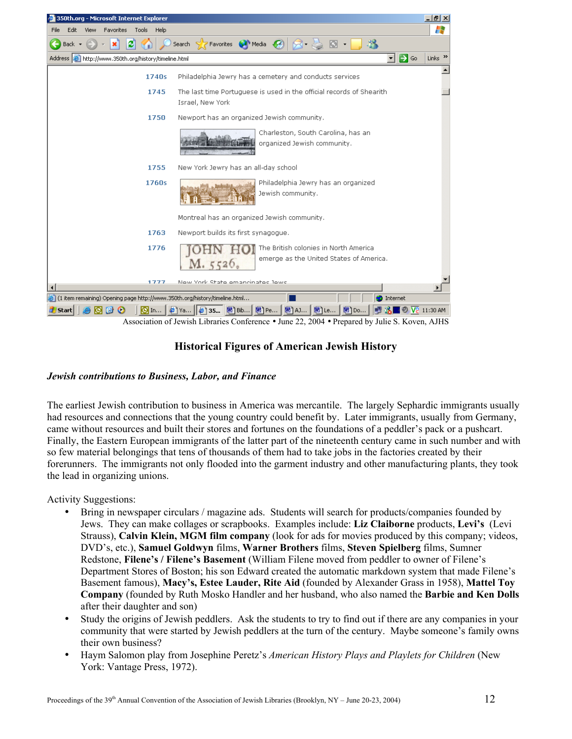

# **Historical Figures of American Jewish History**

#### *Jewish contributions to Business, Labor, and Finance*

The earliest Jewish contribution to business in America was mercantile. The largely Sephardic immigrants usually had resources and connections that the young country could benefit by. Later immigrants, usually from Germany, came without resources and built their stores and fortunes on the foundations of a peddler's pack or a pushcart. Finally, the Eastern European immigrants of the latter part of the nineteenth century came in such number and with so few material belongings that tens of thousands of them had to take jobs in the factories created by their forerunners. The immigrants not only flooded into the garment industry and other manufacturing plants, they took the lead in organizing unions.

Activity Suggestions:

- Bring in newspaper circulars / magazine ads. Students will search for products/companies founded by Jews. They can make collages or scrapbooks. Examples include: **Liz Claiborne** products, **Levi's** (Levi Strauss), **Calvin Klein, MGM film company** (look for ads for movies produced by this company; videos, DVD's, etc.), **Samuel Goldwyn** films, **Warner Brothers** films, **Steven Spielberg** films, Sumner Redstone, **Filene's / Filene's Basement** (William Filene moved from peddler to owner of Filene's Department Stores of Boston; his son Edward created the automatic markdown system that made Filene's Basement famous), **Macy's, Estee Lauder, Rite Aid** (founded by Alexander Grass in 1958), **Mattel Toy Company** (founded by Ruth Mosko Handler and her husband, who also named the **Barbie and Ken Dolls** after their daughter and son)
- Study the origins of Jewish peddlers. Ask the students to try to find out if there are any companies in your community that were started by Jewish peddlers at the turn of the century. Maybe someone's family owns their own business?
- Haym Salomon play from Josephine Peretz's *American History Plays and Playlets for Children* (New York: Vantage Press, 1972).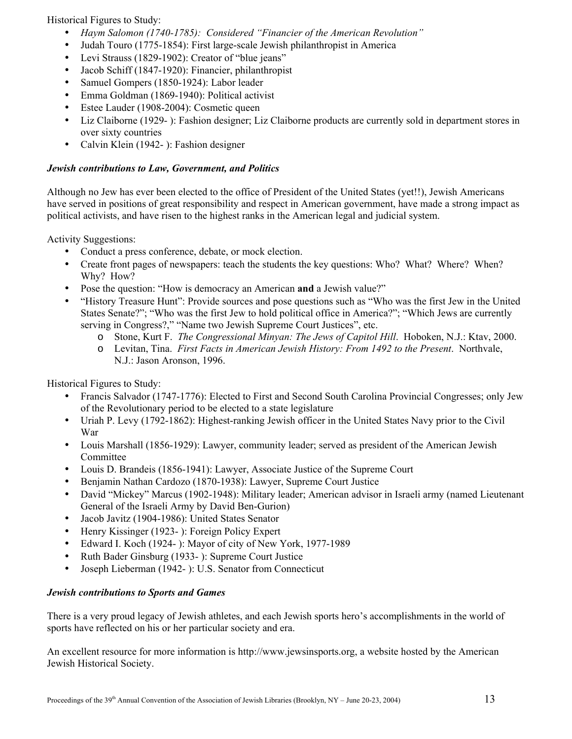Historical Figures to Study:

- *Haym Salomon (1740-1785): Considered "Financier of the American Revolution"*
- Judah Touro (1775-1854): First large-scale Jewish philanthropist in America
- Levi Strauss (1829-1902): Creator of "blue jeans"
- Jacob Schiff (1847-1920): Financier, philanthropist
- Samuel Gompers (1850-1924): Labor leader
- Emma Goldman (1869-1940): Political activist
- Estee Lauder (1908-2004): Cosmetic queen
- Liz Claiborne (1929- ): Fashion designer; Liz Claiborne products are currently sold in department stores in over sixty countries
- Calvin Klein (1942- ): Fashion designer

## *Jewish contributions to Law, Government, and Politics*

Although no Jew has ever been elected to the office of President of the United States (yet!!), Jewish Americans have served in positions of great responsibility and respect in American government, have made a strong impact as political activists, and have risen to the highest ranks in the American legal and judicial system.

Activity Suggestions:

- Conduct a press conference, debate, or mock election.
- Create front pages of newspapers: teach the students the key questions: Who? What? Where? When? Why? How?
- Pose the question: "How is democracy an American **and** a Jewish value?"
- "History Treasure Hunt": Provide sources and pose questions such as "Who was the first Jew in the United States Senate?"; "Who was the first Jew to hold political office in America?"; "Which Jews are currently serving in Congress?," "Name two Jewish Supreme Court Justices", etc.
	- o Stone, Kurt F. *The Congressional Minyan: The Jews of Capitol Hill*. Hoboken, N.J.: Ktav, 2000.
	- o Levitan, Tina. *First Facts in American Jewish History: From 1492 to the Present*. Northvale, N.J.: Jason Aronson, 1996.

Historical Figures to Study:

- Francis Salvador (1747-1776): Elected to First and Second South Carolina Provincial Congresses; only Jew of the Revolutionary period to be elected to a state legislature
- Uriah P. Levy (1792-1862): Highest-ranking Jewish officer in the United States Navy prior to the Civil War
- Louis Marshall (1856-1929): Lawyer, community leader; served as president of the American Jewish Committee
- Louis D. Brandeis (1856-1941): Lawyer, Associate Justice of the Supreme Court
- Benjamin Nathan Cardozo (1870-1938): Lawyer, Supreme Court Justice
- David "Mickey" Marcus (1902-1948): Military leader; American advisor in Israeli army (named Lieutenant General of the Israeli Army by David Ben-Gurion)
- Jacob Javitz (1904-1986): United States Senator
- Henry Kissinger (1923- ): Foreign Policy Expert
- Edward I. Koch (1924- ): Mayor of city of New York, 1977-1989
- Ruth Bader Ginsburg (1933- ): Supreme Court Justice
- Joseph Lieberman (1942- ): U.S. Senator from Connecticut

#### *Jewish contributions to Sports and Games*

There is a very proud legacy of Jewish athletes, and each Jewish sports hero's accomplishments in the world of sports have reflected on his or her particular society and era.

An excellent resource for more information is http:/[/www.jewsinsports.org,](http://www.jewsinsports.org/) a website hosted by the American Jewish Historical Society.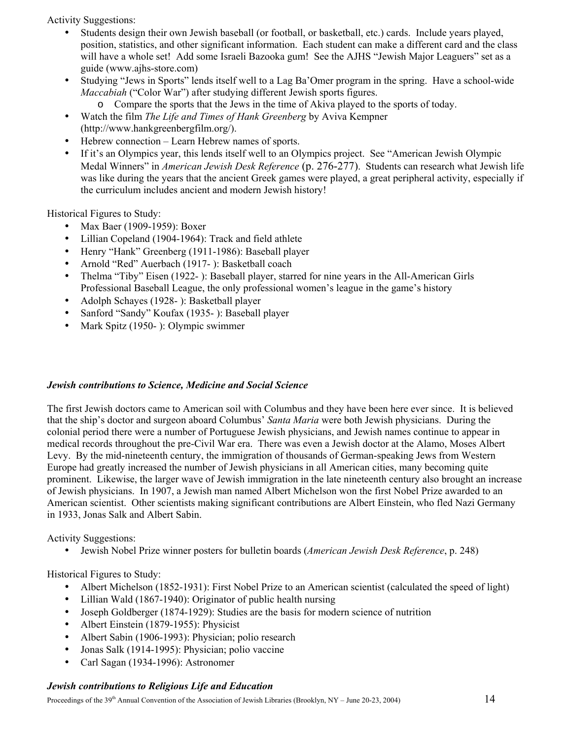Activity Suggestions:

- Students design their own Jewish baseball (or football, or basketball, etc.) cards. Include years played, position, statistics, and other significant information. Each student can make a different card and the class will have a whole set! Add some Israeli Bazooka gum! See the AJHS "Jewish Major Leaguers" set as a guide (www.ajhs-store.com)
- Studying "Jews in Sports" lends itself well to a Lag Ba'Omer program in the spring. Have a school-wide *Maccabiah* ("Color War") after studying different Jewish sports figures.
	- o Compare the sports that the Jews in the time of Akiva played to the sports of today.
- Watch the film *The Life and Times of Hank Greenberg* by Aviva Kempner (http://www.hankgreenbergfilm.org/).
- Hebrew connection Learn Hebrew names of sports.
- If it's an Olympics year, this lends itself well to an Olympics project. See "American Jewish Olympic Medal Winners" in *American Jewish Desk Reference* (p. 276-277). Students can research what Jewish life was like during the years that the ancient Greek games were played, a great peripheral activity, especially if the curriculum includes ancient and modern Jewish history!

Historical Figures to Study:

- Max Baer (1909-1959): Boxer
- Lillian Copeland (1904-1964): Track and field athlete
- Henry "Hank" Greenberg (1911-1986): Baseball player
- Arnold "Red" Auerbach (1917- ): Basketball coach
- Thelma "Tiby" Eisen (1922-): Baseball player, starred for nine years in the All-American Girls Professional Baseball League, the only professional women's league in the game's history
- Adolph Schayes (1928- ): Basketball player
- Sanford "Sandy" Koufax (1935- ): Baseball player
- Mark Spitz (1950- ): Olympic swimmer

#### *Jewish contributions to Science, Medicine and Social Science*

The first Jewish doctors came to American soil with Columbus and they have been here ever since. It is believed that the ship's doctor and surgeon aboard Columbus' *Santa Maria* were both Jewish physicians. During the colonial period there were a number of Portuguese Jewish physicians, and Jewish names continue to appear in medical records throughout the pre-Civil War era. There was even a Jewish doctor at the Alamo, Moses Albert Levy. By the mid-nineteenth century, the immigration of thousands of German-speaking Jews from Western Europe had greatly increased the number of Jewish physicians in all American cities, many becoming quite prominent. Likewise, the larger wave of Jewish immigration in the late nineteenth century also brought an increase of Jewish physicians. In 1907, a Jewish man named Albert Michelson won the first Nobel Prize awarded to an American scientist. Other scientists making significant contributions are Albert Einstein, who fled Nazi Germany in 1933, Jonas Salk and Albert Sabin.

Activity Suggestions:

• Jewish Nobel Prize winner posters for bulletin boards (*American Jewish Desk Reference*, p. 248)

Historical Figures to Study:

- Albert Michelson (1852-1931): First Nobel Prize to an American scientist (calculated the speed of light)
- Lillian Wald (1867-1940): Originator of public health nursing
- Joseph Goldberger (1874-1929): Studies are the basis for modern science of nutrition
- Albert Einstein (1879-1955): Physicist
- Albert Sabin (1906-1993): Physician; polio research
- Jonas Salk (1914-1995): Physician; polio vaccine
- Carl Sagan (1934-1996): Astronomer

#### *Jewish contributions to Religious Life and Education*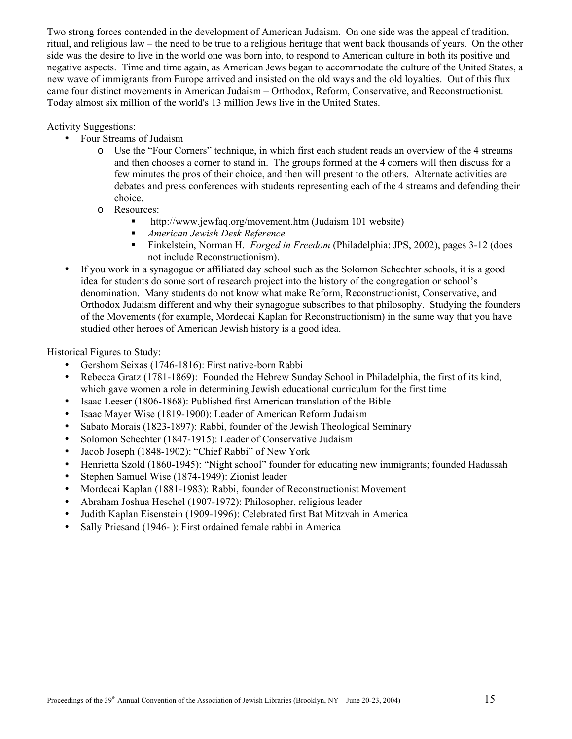Two strong forces contended in the development of American Judaism. On one side was the appeal of tradition, ritual, and religious law – the need to be true to a religious heritage that went back thousands of years. On the other side was the desire to live in the world one was born into, to respond to American culture in both its positive and negative aspects. Time and time again, as American Jews began to accommodate the culture of the United States, a new wave of immigrants from Europe arrived and insisted on the old ways and the old loyalties. Out of this flux came four distinct movements in American Judaism – Orthodox, Reform, Conservative, and Reconstructionist. Today almost six million of the world's 13 million Jews live in the United States.

Activity Suggestions:

- Four Streams of Judaism
	- o Use the "Four Corners" technique, in which first each student reads an overview of the 4 streams and then chooses a corner to stand in. The groups formed at the 4 corners will then discuss for a few minutes the pros of their choice, and then will present to the others. Alternate activities are debates and press conferences with students representing each of the 4 streams and defending their choice.
	- o Resources:
		- <http://www.jewfaq.org/movement.htm>(Judaism 101 website)
		- *American Jewish Desk Reference*
		- Finkelstein, Norman H. *Forged in Freedom* (Philadelphia: JPS, 2002), pages 3-12 (does not include Reconstructionism).
- If you work in a synagogue or affiliated day school such as the Solomon Schechter schools, it is a good idea for students do some sort of research project into the history of the congregation or school's denomination. Many students do not know what make Reform, Reconstructionist, Conservative, and Orthodox Judaism different and why their synagogue subscribes to that philosophy. Studying the founders of the Movements (for example, Mordecai Kaplan for Reconstructionism) in the same way that you have studied other heroes of American Jewish history is a good idea.

Historical Figures to Study:

- Gershom Seixas (1746-1816): First native-born Rabbi
- Rebecca Gratz (1781-1869): Founded the Hebrew Sunday School in Philadelphia, the first of its kind, which gave women a role in determining Jewish educational curriculum for the first time
- Isaac Leeser (1806-1868): Published first American translation of the Bible
- Isaac Mayer Wise (1819-1900): Leader of American Reform Judaism
- Sabato Morais (1823-1897): Rabbi, founder of the Jewish Theological Seminary
- Solomon Schechter (1847-1915): Leader of Conservative Judaism
- Jacob Joseph (1848-1902): "Chief Rabbi" of New York
- Henrietta Szold (1860-1945): "Night school" founder for educating new immigrants; founded Hadassah
- Stephen Samuel Wise (1874-1949): Zionist leader
- Mordecai Kaplan (1881-1983): Rabbi, founder of Reconstructionist Movement
- Abraham Joshua Heschel (1907-1972): Philosopher, religious leader
- Judith Kaplan Eisenstein (1909-1996): Celebrated first Bat Mitzvah in America
- Sally Priesand (1946- ): First ordained female rabbi in America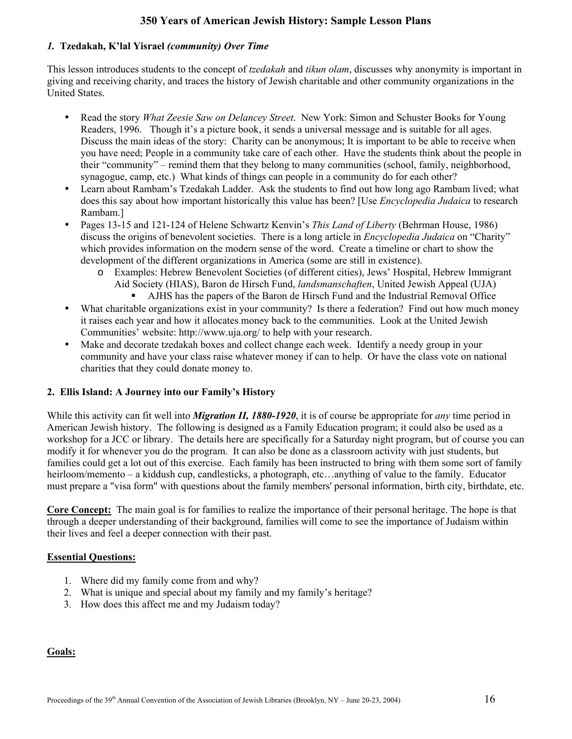# **350 Years of American Jewish History: Sample Lesson Plans**

#### *1.* **Tzedakah, K'lal Yisrael** *(community) Over Time*

This lesson introduces students to the concept of *tzedakah* and *tikun olam*, discusses why anonymity is important in giving and receiving charity, and traces the history of Jewish charitable and other community organizations in the United States.

- Read the story *What Zeesie Saw on Delancey Street*. New York: Simon and Schuster Books for Young Readers, 1996. Though it's a picture book, it sends a universal message and is suitable for all ages. Discuss the main ideas of the story: Charity can be anonymous; It is important to be able to receive when you have need; People in a community take care of each other. Have the students think about the people in their "community" – remind them that they belong to many communities (school, family, neighborhood, synagogue, camp, etc.) What kinds of things can people in a community do for each other?
- Learn about Rambam's Tzedakah Ladder. Ask the students to find out how long ago Rambam lived; what does this say about how important historically this value has been? [Use *Encyclopedia Judaica* to research Rambam.]
- Pages 13-15 and 121-124 of Helene Schwartz Kenvin's *This Land of Liberty* (Behrman House, 1986) discuss the origins of benevolent societies. There is a long article in *Encyclopedia Judaica* on "Charity" which provides information on the modern sense of the word. Create a timeline or chart to show the development of the different organizations in America (some are still in existence).
	- o Examples: Hebrew Benevolent Societies (of different cities), Jews' Hospital, Hebrew Immigrant Aid Society (HIAS), Baron de Hirsch Fund, *landsmanschaften*, United Jewish Appeal (UJA)
		- AJHS has the papers of the Baron de Hirsch Fund and the Industrial Removal Office
- What charitable organizations exist in your community? Is there a federation? Find out how much money it raises each year and how it allocates money back to the communities. Look at the United Jewish Communities' website: http://www.uja.org/ to help with your research.
- Make and decorate tzedakah boxes and collect change each week. Identify a needy group in your community and have your class raise whatever money if can to help. Or have the class vote on national charities that they could donate money to.

#### **2. Ellis Island: A Journey into our Family's History**

While this activity can fit well into *Migration II, 1880-1920*, it is of course be appropriate for *any* time period in American Jewish history. The following is designed as a Family Education program; it could also be used as a workshop for a JCC or library. The details here are specifically for a Saturday night program, but of course you can modify it for whenever you do the program. It can also be done as a classroom activity with just students, but families could get a lot out of this exercise. Each family has been instructed to bring with them some sort of family heirloom/memento – a kiddush cup, candlesticks, a photograph, etc...anything of value to the family. Educator must prepare a "visa form" with questions about the family members' personal information, birth city, birthdate, etc.

**Core Concept:** The main goal is for families to realize the importance of their personal heritage. The hope is that through a deeper understanding of their background, families will come to see the importance of Judaism within their lives and feel a deeper connection with their past.

#### **Essential Questions:**

- 1. Where did my family come from and why?
- 2. What is unique and special about my family and my family's heritage?
- 3. How does this affect me and my Judaism today?

#### **Goals:**